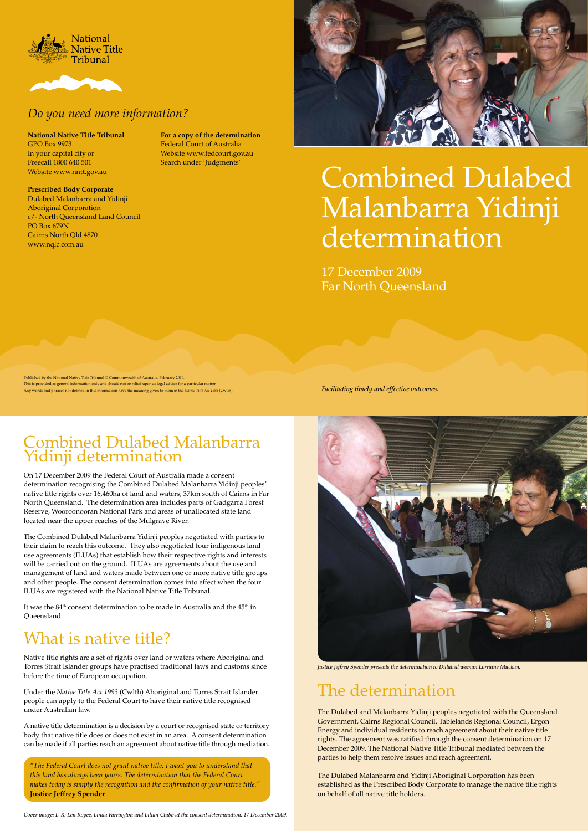### The determination

The Dulabed and Malanbarra Yidinji peoples negotiated with the Queensland Government, Cairns Regional Council, Tablelands Regional Council, Ergon Energy and individual residents to reach agreement about their native title rights. The agreement was ratified through the consent determination on 17 December 2009. The National Native Title Tribunal mediated between the parties to help them resolve issues and reach agreement.

The Dulabed Malanbarra and Yidinji Aboriginal Corporation has been established as the Prescribed Body Corporate to manage the native title rights on behalf of all native title holders.

### Combined Dulabed Malanbarra Yidinji determination

It was the  $84<sup>th</sup>$  consent determination to be made in Australia and the  $45<sup>th</sup>$  in Queensland.



On 17 December 2009 the Federal Court of Australia made a consent determination recognising the Combined Dulabed Malanbarra Yidinji peoples' native title rights over 16,460ha of land and waters, 37km south of Cairns in Far North Queensland. The determination area includes parts of Gadgarra Forest Reserve, Wooroonooran National Park and areas of unallocated state land located near the upper reaches of the Mulgrave River.

The Combined Dulabed Malanbarra Yidinji peoples negotiated with parties to their claim to reach this outcome. They also negotiated four indigenous land use agreements (ILUAs) that establish how their respective rights and interests will be carried out on the ground. ILUAs are agreements about the use and management of land and waters made between one or more native title groups and other people. The consent determination comes into effect when the four ILUAs are registered with the National Native Title Tribunal.

Published by the National Native Title Tribunal © Commonwealth of Australia, February 2010. This is provided as general information only and should not be relied upon as legal advice for a particular matter. Any words and phrases not defined in this information have the meaning given to them in the *Native Title Act 1993* (Cwlth). *Facilitating timely and effective outcomes.* 

### What is native title?

Native title rights are a set of rights over land or waters where Aboriginal and Torres Strait Islander groups have practised traditional laws and customs since before the time of European occupation.

Under the *Native Title Act 1993* (Cwlth) Aboriginal and Torres Strait Islander people can apply to the Federal Court to have their native title recognised under Australian law.

A native title determination is a decision by a court or recognised state or territory body that native title does or does not exist in an area. A consent determination can be made if all parties reach an agreement about native title through mediation.

*"The Federal Court does not grant native title. I want you to understand that this land has always been yours. The determination that the Federal Court makes today is simply the recognition and the confirmation of your native title."*  **Justice Jeffrey Spender**

*Justice Jeffrey Spender presents the determination to Dulabed woman Lorraine Muckan.*

# Combined Dulabed Malanbarra Yidinji determination





### *Do you need more information?*

**National Native Title Tribunal** GPO Box 9973 In your capital city or Freecall 1800 640 501 Website www.nntt.gov.au

### **Prescribed Body Corporate**

Dulabed Malanbarra and Yidinji Aboriginal Corporation c/- North Queensland Land Council PO Box 679N Cairns North Qld 4870 www.nqlc.com.au



**For a copy of the determination** Federal Court of Australia Website www.fedcourt.gov.au Search under 'Judgments'

> 17 December 2009 Far North Queensland